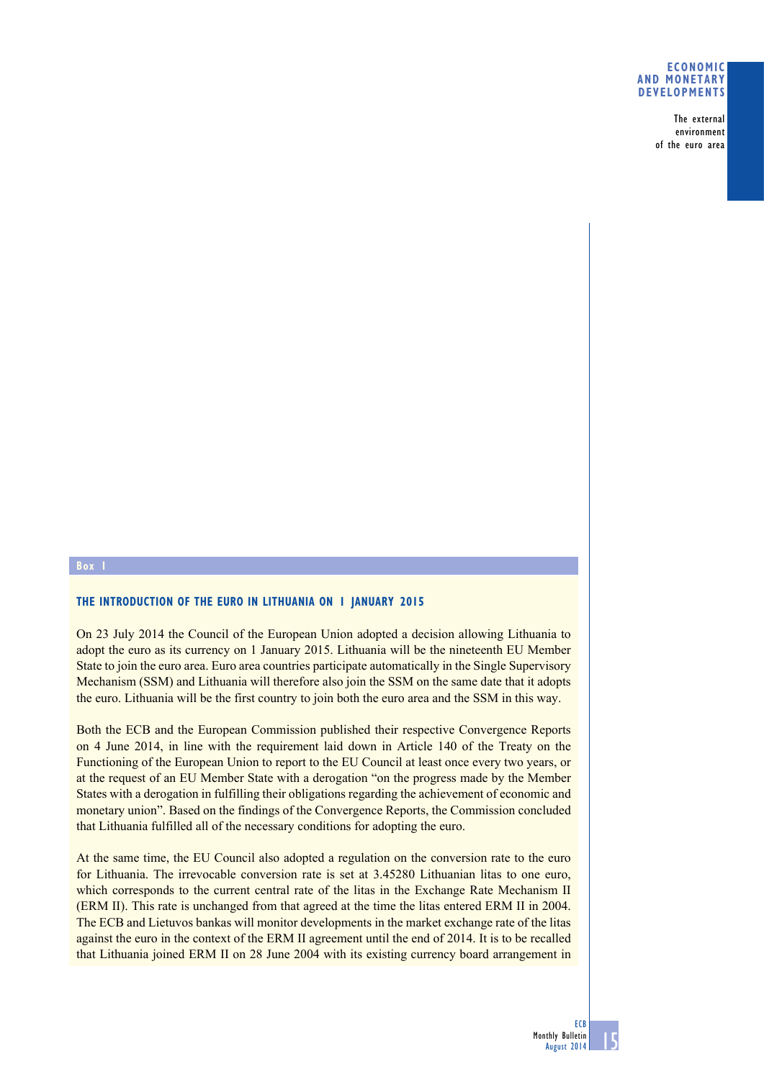## **Economic and monetary developments**

The external environment of the euro area

## **Box 1**

## **THE INTRODUCTION OF THE EURO IN LITHUANIA ON 1 JANUARY 2015**

On 23 July 2014 the Council of the European Union adopted a decision allowing Lithuania to adopt the euro as its currency on 1 January 2015. Lithuania will be the nineteenth EU Member State to join the euro area. Euro area countries participate automatically in the Single Supervisory Mechanism (SSM) and Lithuania will therefore also join the SSM on the same date that it adopts the euro. Lithuania will be the first country to join both the euro area and the SSM in this way.

Both the ECB and the European Commission published their respective Convergence Reports on 4 June 2014, in line with the requirement laid down in Article 140 of the Treaty on the Functioning of the European Union to report to the EU Council at least once every two years, or at the request of an EU Member State with a derogation "on the progress made by the Member States with a derogation in fulfilling their obligations regarding the achievement of economic and monetary union". Based on the findings of the Convergence Reports, the Commission concluded that Lithuania fulfilled all of the necessary conditions for adopting the euro.

At the same time, the EU Council also adopted a regulation on the conversion rate to the euro for Lithuania. The irrevocable conversion rate is set at 3.45280 Lithuanian litas to one euro, which corresponds to the current central rate of the litas in the Exchange Rate Mechanism II (ERM II). This rate is unchanged from that agreed at the time the litas entered ERM II in 2004. The ECB and Lietuvos bankas will monitor developments in the market exchange rate of the litas against the euro in the context of the ERM II agreement until the end of 2014. It is to be recalled that Lithuania joined ERM II on 28 June 2004 with its existing currency board arrangement in